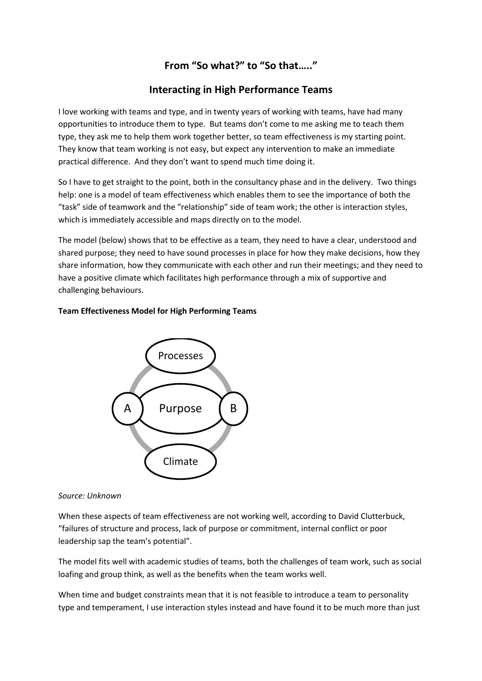## **From "So what?" to "So that….."**

### **Interacting in High Performance Teams**

I love working with teams and type, and in twenty years of working with teams, have had many opportunities to introduce them to type. But teams don't come to me asking me to teach them type, they ask me to help them work together better, so team effectiveness is my starting point. They know that team working is not easy, but expect any intervention to make an immediate practical difference. And they don't want to spend much time doing it.

So I have to get straight to the point, both in the consultancy phase and in the delivery. Two things help: one is a model of team effectiveness which enables them to see the importance of both the "task" side of teamwork and the "relationship" side of team work; the other is interaction styles, which is immediately accessible and maps directly on to the model.

The model (below) shows that to be effective as a team, they need to have a clear, understood and shared purpose; they need to have sound processes in place for how they make decisions, how they share information, how they communicate with each other and run their meetings; and they need to have a positive climate which facilitates high performance through a mix of supportive and challenging behaviours.

# Purpose Processes B A

Climate

#### **Team Effectiveness Model for High Performing Teams**

#### *Source: Unknown*

When these aspects of team effectiveness are not working well, according to David Clutterbuck, "failures of structure and process, lack of purpose or commitment, internal conflict or poor leadership sap the team's potential".

The model fits well with academic studies of teams, both the challenges of team work, such as social loafing and group think, as well as the benefits when the team works well.

When time and budget constraints mean that it is not feasible to introduce a team to personality type and temperament, I use interaction styles instead and have found it to be much more than just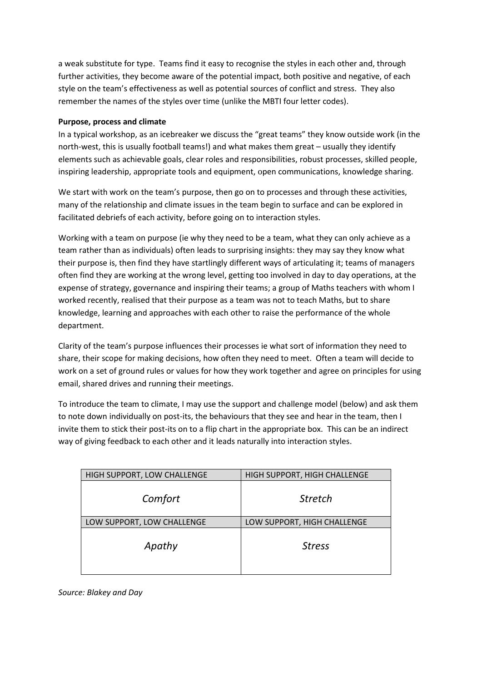a weak substitute for type. Teams find it easy to recognise the styles in each other and, through further activities, they become aware of the potential impact, both positive and negative, of each style on the team's effectiveness as well as potential sources of conflict and stress. They also remember the names of the styles over time (unlike the MBTI four letter codes).

#### **Purpose, process and climate**

In a typical workshop, as an icebreaker we discuss the "great teams" they know outside work (in the north-west, this is usually football teams!) and what makes them great – usually they identify elements such as achievable goals, clear roles and responsibilities, robust processes, skilled people, inspiring leadership, appropriate tools and equipment, open communications, knowledge sharing.

We start with work on the team's purpose, then go on to processes and through these activities, many of the relationship and climate issues in the team begin to surface and can be explored in facilitated debriefs of each activity, before going on to interaction styles.

Working with a team on purpose (ie why they need to be a team, what they can only achieve as a team rather than as individuals) often leads to surprising insights: they may say they know what their purpose is, then find they have startlingly different ways of articulating it; teams of managers often find they are working at the wrong level, getting too involved in day to day operations, at the expense of strategy, governance and inspiring their teams; a group of Maths teachers with whom I worked recently, realised that their purpose as a team was not to teach Maths, but to share knowledge, learning and approaches with each other to raise the performance of the whole department.

Clarity of the team's purpose influences their processes ie what sort of information they need to share, their scope for making decisions, how often they need to meet. Often a team will decide to work on a set of ground rules or values for how they work together and agree on principles for using email, shared drives and running their meetings.

To introduce the team to climate, I may use the support and challenge model (below) and ask them to note down individually on post-its, the behaviours that they see and hear in the team, then I invite them to stick their post-its on to a flip chart in the appropriate box. This can be an indirect way of giving feedback to each other and it leads naturally into interaction styles.

| HIGH SUPPORT, LOW CHALLENGE | HIGH SUPPORT, HIGH CHALLENGE |
|-----------------------------|------------------------------|
| Comfort                     | <b>Stretch</b>               |
| LOW SUPPORT, LOW CHALLENGE  | LOW SUPPORT, HIGH CHALLENGE  |
| Apathy                      | <b>Stress</b>                |

*Source: Blakey and Day*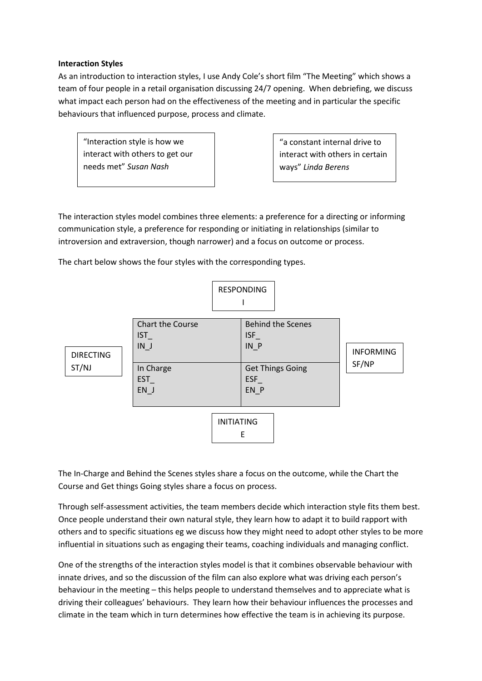#### **Interaction Styles**

As an introduction to interaction styles, I use Andy Cole's short film "The Meeting" which shows a team of four people in a retail organisation discussing 24/7 opening. When debriefing, we discuss what impact each person had on the effectiveness of the meeting and in particular the specific behaviours that influenced purpose, process and climate.

"Interaction style is how we interact with others to get our needs met" *Susan Nash*

"a constant internal drive to interact with others in certain ways" *Linda Berens*

The interaction styles model combines three elements: a preference for a directing or informing communication style, a preference for responding or initiating in relationships (similar to introversion and extraversion, though narrower) and a focus on outcome or process.

The chart below shows the four styles with the corresponding types.



The In-Charge and Behind the Scenes styles share a focus on the outcome, while the Chart the Course and Get things Going styles share a focus on process.

Through self-assessment activities, the team members decide which interaction style fits them best. Once people understand their own natural style, they learn how to adapt it to build rapport with others and to specific situations eg we discuss how they might need to adopt other styles to be more influential in situations such as engaging their teams, coaching individuals and managing conflict.

One of the strengths of the interaction styles model is that it combines observable behaviour with innate drives, and so the discussion of the film can also explore what was driving each person's behaviour in the meeting – this helps people to understand themselves and to appreciate what is driving their colleagues' behaviours. They learn how their behaviour influences the processes and climate in the team which in turn determines how effective the team is in achieving its purpose.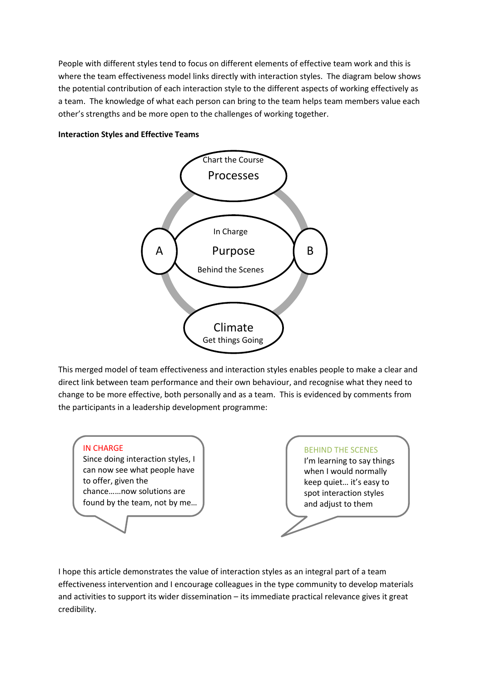People with different styles tend to focus on different elements of effective team work and this is where the team effectiveness model links directly with interaction styles. The diagram below shows the potential contribution of each interaction style to the different aspects of working effectively as a team. The knowledge of what each person can bring to the team helps team members value each other's strengths and be more open to the challenges of working together.



#### **Interaction Styles and Effective Teams**

This merged model of team effectiveness and interaction styles enables people to make a clear and direct link between team performance and their own behaviour, and recognise what they need to change to be more effective, both personally and as a team. This is evidenced by comments from the participants in a leadership development programme:



I hope this article demonstrates the value of interaction styles as an integral part of a team effectiveness intervention and I encourage colleagues in the type community to develop materials and activities to support its wider dissemination – its immediate practical relevance gives it great credibility.